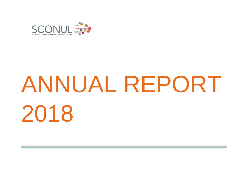

# ANNUAL REPORT 2018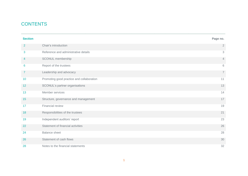# **CONTENTS**

| <b>Section</b> |                                           | Page no.                  |
|----------------|-------------------------------------------|---------------------------|
| $\overline{2}$ | Chair's introduction                      | $\overline{2}$            |
| 3              | Reference and administrative details      | $\ensuremath{\mathsf{3}}$ |
| 4              | SCONUL membership                         | 4                         |
| 6              | Report of the trustees                    | 6                         |
| $\overline{7}$ | Leadership and advocacy                   | $\overline{7}$            |
| 10             | Promoting good practice and collaboration | 11                        |
| 12             | SCONUL's partner organisations            | 13                        |
| 13             | Member services                           | 14                        |
| 15             | Structure, governance and management      | 17                        |
| 17             | Financial review                          | 19                        |
| 18             | Responsibilities of the trustees          | 21                        |
| 19             | Independent auditors' report              | 23                        |
| 22             | Statement of financial activities         | 26                        |
| 24             | <b>Balance sheet</b>                      | 28                        |
| 26             | Statement of cash flows                   | 30                        |
| 28             | Notes to the financial statements         | 32                        |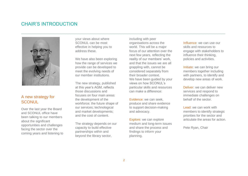# CHAIR'S INTRODUCTION



## A new strategy for **SCONUL**

Over the last year the Board and SCONUL office have been talking to our members about the significant opportunities and challenges facing the sector over the coming years and listening to your views about where SCONUL can be most effective in helping you to address these.

We have also been exploring how the range of services we provide can be developed to meet the evolving needs of our member institutions.

The new strategy, published at this year's AGM, reflects those discussions and focuses on four main areas: the development of the workforce; the future shape of our services; technological and market developments; and the cost of content.

The strategy depends on our capacity to build effective partnerships within and beyond the library sector,

including with peer organisations across the world. This will be a major focus of our attention over the next few years, reflecting the reality of our members' work, and that the issues we are all grappling with, cannot be considered separately from their broader context. We have been guided by your views on how SCONUL's particular skills and resources can make a difference:

Evidence: we can seek, produce and share evidence to support decision-making and advocacy.

Explore: we can explore medium and long-term issues and share the process and findings to inform your planning.

Influence: we can use our skills and resources to engage with stakeholders to influence their thinking, policies and activities.

Initiate: we can bring our members together including with partners, to identify and develop new areas of work.

Deliver: we can deliver new services and respond to immediate challenges on behalf of the sector.

Lead: we can work with members to identify strategic priorities for the sector and articulate the areas for action.

Pete Ryan, Chair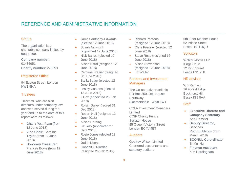# REFERENCE AND ADMINISTRATIVE INFORMATION

#### **Status**

The organisation is a charitable company limited by guarantee.

**Company number**: 01436951 **Charity number**: 278550

#### Registered Office

94 Euston Street, London NW1 9HA

#### **Trustees**

Trustees, who are also directors under company law and who served during the year and up to the date of this report were as follows:

- **Chair:** Pete Ryan (from 12 June 2018)
- **Vice-Chair:** Caroline Taylor (from 12 June 2018)
- **Honorary Treasurer:** Frances Boyle (from 12 June 2018)
- James Anthony-Edwards (elected 12 June 2018)
- Susan Ashworth (appointed 12 June 2018)
- Nick Barrett (elected 12 June 2018)
- Alison Baud (resigned 12 June 2018)
- Caroline Brazier (resigned 30 June 2018)
- Stella Butler (elected 12 June 2018)
- Lesley Castens (elected 12 June 2018)
- J Cox (appointed 26 Feb 2019)
- Roisin Gwyer (retired 31 Dec 2018)
- Robert Hall (resigned 12 June 2018)
- Alison Harding
- Liz Jolly (appointed 27 Sept 2018)
- Rosie Jones (elected 12 June 2018)
- Judith Keene
- Gobnait O'Riordan (resigned 26 Feb 2019)
- Richard Parsons (resigned 12 June 2018)
- Chris Pressler (elected 12 June 2018)
- Steve Rose (resigned 12 June 2018)
- **•** Alison Stevenson (resigned 12 June 2018)
- $\bullet$  Liz Waller

\_\_\_\_\_\_\_\_\_\_\_\_\_\_\_\_\_\_\_\_\_\_\_\_\_\_\_\_\_\_\_\_\_\_\_\_\_\_\_\_\_\_\_\_\_\_\_\_\_\_\_\_\_\_\_\_\_\_\_\_\_\_\_\_\_\_\_\_\_\_\_\_\_\_\_\_\_\_\_\_\_\_\_\_\_\_\_\_\_

#### Bankers and Investment **Managers**

- The Co-operative Bank plc PO Box 250, Delf House Southway Skelmersdale WN8 6WT
- CCLA Investment Managers Limited COIF Charity Funds Senator House 85 Queen Victoria Street London EC4V 4ET

#### **Auditors**

Godfrey Wilson Limited Chartered accountants and statutory auditors

5th Floor Mariner House 62 Prince Street Bristol, BS1 4QD

#### **Solicitors**

Walker Morris LLP Kings Court 12 King Street Leeds LS1 2HL

#### HR advisor

WB Ranken 16 Forest Edge Buckhurst Hill Essex IG9 5AA

#### **Staff**

- **Executive Director and Company Secretary** Ann Rossiter
- **Deputy Director, Services** Ruth Stubbings (from March 2018)
- **SCONUL Co-ordinator** SitMui Ng
- **Finance Assistant** Kim Hardingham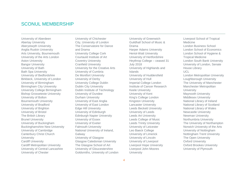## SCONUL MEMBERSHIP

University of Aberdeen Abertay University Aberystwyth University Anglia Ruskin University Arts University, Bournemouth University of the Arts London Aston University Bangor University University of Bath Bath Spa University University of Bedfordshire Birkbeck, University of London University of Birmingham Birmingham City University University College Birmingham Bishop Grosseteste University University of Bolton Bournemouth University University of Bradford University of Brighton University of Bristol The British Library Brunel University University of Buckingham Buckinghamshire New University University of Cambridge Canterbury Christ Church University Cardiff University Cardiff Metropolitan University University of Central Lancashire University of Chester

University of Chichester City, University of London The Conservatoire for Dance and Drama University College Cork Courtauld Institute of Art Coventry University Cranfield University University for the Creative Arts University of Cumbria De Montfort University University of Derby University College Dublin Dublin City University Dublin Institute of Technology University of Dundee Durham University University of East Anglia University of East London Edge Hill University University of Edinburgh Edinburgh Napier University University of Essex University of Exeter Falmouth University National University of Ireland, Galway University of Glasgow Glasgow Caledonian University The Glasgow School of Art University of Gloucestershire Goldsmiths, University of London

University of Greenwich Guildhall School of Music & Drama Harper Adams University Heriot-Watt University University of Hertfordshire Heythrop College – ceased 31 July 2018 University of Highlands and Islands University of Huddersfield University of Hull Imperial College London Institute of Cancer Research Keele University University of Kent King's College London Kingston University Lancaster University Leeds Beckett University University of Leeds Leeds Art University Leeds College of Music Leeds Trinity University University of Leicester Leo Baeck College University of Limerick University of Lincoln University of Liverpool Liverpool Hope University Liverpool John Moores **University** 

Liverpool School of Tropical Medicine London Business School London School of Economics London School of Hygiene & Tropical Medicine London South Bank University University of London, Senate House Library UCL London Metropolitan University Loughborough University The University of Manchester Manchester Metropolitan **University** Maynooth University Middlesex University National Library of Ireland National Library of Scotland National Library of Wales Newcastle University Newman University Northumbria University The University of Northampton Norwich University of the Arts University of Nottingham Nottingham Trent University The Open University Oxford University Oxford Brookes University University of Plymouth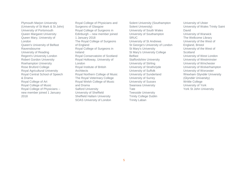Plymouth Marion University (University of St Mark & St John) University of Portsmouth Queen Margaret University Queen Mary, University of London Queen's University of Belfast Ravensbourne University of Reading Regent's University London Robert Gordon University Roehampton University Rose Bruford College Royal Agricultural University Royal Central School of Speech & Drama Royal College of Art Royal College of Music Royal College of Physicians – new member joined 1 January 2018

Royal College of Physicians and Surgeons of Glasgow Royal College of Surgeons in Edinburgh – new member joined 1 January 2018 The Royal College of Surgeons of England Royal College of Surgeons in Ireland Royal Conservatoire of Scotland Royal Holloway, University of London Royal Institute of British **Architects** Royal Northern College of Music The Royal Veterinary College Royal Welsh College of Music and Drama Salford University University of Sheffield Sheffield Hallam University SOAS University of London

Solent University (Southampton Solent University) University of South Wales University of Southampton SRUC University of St Andrews St George's University of London St Mary's University St Mary's University College Belfast Staffordshire University University of Stirling University of Strathclyde University of Suffolk University of Sunderland University of Surrey University of Sussex Swansea University Tate Teesside University Trinity College Dublin Trinity Laban

University of Ulster University of Wales Trinity Saint David University of Warwick The Wellcome Library University of the West of England, Bristol University of the West of **Scotland** University of West London University of Westminster University of Winchester University of Wolverhampton University of Worcester Wrexham Glyndŵr University (Glyndŵr University) Writtle College University of York York St John University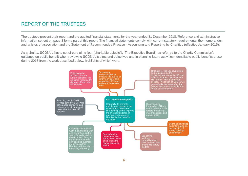# REPORT OF THE TRUSTEES

The trustees present their report and the audited financial statements for the year ended 31 December 2018. Reference and administrative information set out on page 3 forms part of this report. The financial statements comply with current statutory requirements, the memorandum and articles of association and the Statement of Recommended Practice - Accounting and Reporting by Charities (effective January 2015).

\_\_\_\_\_\_\_\_\_\_\_\_\_\_\_\_\_\_\_\_\_\_\_\_\_\_\_\_\_\_\_\_\_\_\_\_\_\_\_\_\_\_\_\_\_\_\_\_\_\_\_\_\_\_\_\_\_\_\_\_\_\_\_\_\_\_\_\_\_\_\_\_\_\_\_\_\_\_\_\_\_\_\_\_\_\_\_\_\_

As a charity, SCONUL has a set of core aims (our "charitable objects"). The Executive Board has referred to the Charity Commission's guidance on public benefit when reviewing SCONUL's aims and objectives and in planning future activities. Identifiable public benefits arose during 2018 from the work described below, highlights of which were:

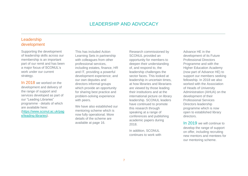\_\_\_\_\_\_\_\_\_\_\_\_\_\_\_\_\_\_\_\_\_\_\_\_\_\_\_\_\_\_\_\_\_\_\_\_\_\_\_\_\_\_\_\_\_\_\_\_\_\_\_\_\_\_\_\_\_\_\_\_\_\_\_\_\_\_\_\_\_\_\_\_\_\_\_\_\_\_\_\_\_\_\_\_\_\_\_\_\_

## Leadership development

Supporting the development of leadership skills across our membership is an important part of our remit and has been a major focus of SCONUL's work under our current strategy.

In 2018 we worked on the development and delivery of the range of support and services developed as part of our "Leading Libraries" programme - details of which are available here: [\(https://www.sconul.ac.uk/pag](https://www.sconul.ac.uk/page/leading-libraries) [e/leading-libraries\)](https://www.sconul.ac.uk/page/leading-libraries).

This has included Action Learning Sets in partnership with colleagues from other professional services, including estates, finance, HR and IT, providing a powerful development experience; and our own deputies and directors informal groups which provide an opportunity for sharing best practice and problem-solving experience with peers.

We have also established our mentoring scheme which is now fully operational. More details of the scheme are available at page 16.

Research commissioned by SCONUL provided an opportunity for members to deepen their understanding of, and respond to, the leadership challenges the sector faces. This looked at leadership in uncertain times, at how libraries and librarians are viewed by those leading their institutions and at the international picture on library leadership. SCONUL leaders have continued to promote this research through speaking at a range of conferences and publishing academic papers during 2018.

In addition, SCONUL continues to work with Advance HE in the development of its Future Professional Directors Programme and with the Higher Education Academy (now part of Advance HE) to support our members seeking fellowship. In 2018 we also worked with the Association of Heads of University Administration (AHUA) on the development of their Professional Services Directors leadership programme which is now open to established library directors.

In 2019 we will continue to develop the range of support on offer, including recruiting new mentors and mentees for our mentoring scheme.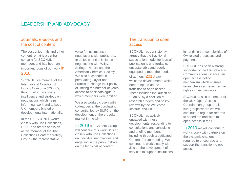## Journals, e-books and the cost of content

The cost of journals and other content remains a central concern for SCONUL members and has been an important focus of our work **in** 2018.

SCONUL is a member of the International Coalition of Library Consortia (ICOLC), through which we share intelligence and strategy on negotiations which helps inform our work and to keep UK members briefed on developments internationally.

In the UK, SCONUL works closely with Jisc Collections, RLUK and others and is an active member of the Jisc Collections Content Strategy Group - the representative

voice for institutions in negotiations with publishers. In 2018, priorities included negotiations with Wiley, Springer Nature and the American Chemical Society. We also succeeded in persuading Taylor and Francis to change their policy of limiting the number of years access to back catalogue to which members were entitled.

We also worked closely with colleagues at the purchasing consortia, led by SUPC on the development of the e-books market in the UK.

In 2019 our Content Group will continue this work, liaising closely with Jisc Collections on individual negotiations and engaging in the public debate on the high cost of content.

## The transition to open access

SCONUL has consistently argued that the traditional subscription model for journal publication is unaffordable, unsustainable and poorly equipped to meet the needs of authors. 2018 saw welcome developments which offer to speed up the transition to open access. These includes the launch of "Plan S" by a coalition of research funders and policy reviews by the Wellcome Institute and UKRI.

SCONUL has actively engaged with these developments, responding to consultations and consulting and briefing members including through a dedicated Content Forum meeting. We continue to work closely with Jisc on the development of services to support institutions in handling the complexities of OA related processes and payments.

SCONUL has been a strong supporter of the UK-Scholarly Communications Licence, an open access policy mechanism which ensures researchers can retain re-use rights in their own work.

SCONUL is also a member of the UUK Open Access Coordination group and its sub-groups where we will continue to argue for reforms to speed the transition to open access in the UK.

In 2019 we will continue to work closely with partners on the systemic changes required to encourage and support the transition to open access.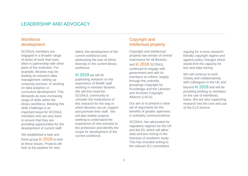## **Workforce** development

SCONUL members are engaged in a broader range of areas of work than ever, often in partnership with other parts of the institution. For example, libraries may be leading on research data management; setting up university presses; or working on data analytics or curriculum development. This demands an ever-increasing range of skills within the library workforce. Meeting this skills challenge is an important issue for SCONUL members who are also keen to ensure that they are providing opportunities for the development of current staff.

We established a task and finish group in 2018 to look at these issues. Projects will look at the pipeline for new

talent; the development of the current workforce and addressing the lack of ethnic diversity in the current library workforce.

In 2019 we will be publishing research on the experience of BAME staff working in member libraries. We will then lead the SCONUL community to consider the implications of this research for the way in which libraries recruit, support and promote their staff. We will also initiate projects seeking to understand the experience of new entrants to the profession and identify the scope for development of the current workforce.

## Copyright and intellectual property

*\_\_\_\_\_\_\_\_\_\_\_\_\_\_\_\_\_\_\_\_\_\_\_\_\_\_\_\_\_\_\_\_\_\_\_\_\_\_\_\_\_\_\_\_\_\_\_\_\_\_\_\_\_\_\_\_\_\_\_\_\_\_\_\_\_\_\_\_\_\_\_\_\_\_\_\_\_\_\_\_\_\_\_\_\_\_\_\_\_*

Copyright and intellectual property law remain of central importance for all libraries, and **in 2018** SCONUL continued to engage with government and with its members on reform, largely through the umbrella groupings Copyright for Knowledge and the Libraries and Archives Copyright Alliance (LACA).

Our aim is to present a clear set of arguments for the benefits of greater openness in scholarly communications.

SCONUL has advocated for regulatory regimes for the UK and the EU which will allow data and text mining in the interests of academic study. This has included writing to the relevant EU committees

arguing for a more researchfriendly copyright regime and against policy changes which would limit the capacity for text and data mining.

We will continue to work closely and collaboratively with colleagues in the UK and beyond in 2019 and will be providing briefing to members on the use of interlibrary loans. We are also supporting research into the cost and use of the CLA licence.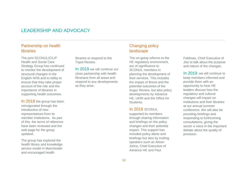## Partnership on health libraries

The joint SCONUL/CILIP Health and Social Care Strategy Group has continued to monitor the development of structural changes in the English NHS and to lobby to ensure that they take proper account of the role and the importance of libraries in supporting health outcomes.

In 2018 the group has been reinvigorated through the introduction of new representatives from its member institutions. As part of this, the terms of reference have been reviewed and the web page for the group updated.

The group has explored the health library and knowledge service model in Manchester and encouraged health

libraries to respond to the Topol Review.

In 2019 we will continue our close partnership with health librarians from all areas and respond to any developments as they arise.

#### Changing policy landscape

*\_\_\_\_\_\_\_\_\_\_\_\_\_\_\_\_\_\_\_\_\_\_\_\_\_\_\_\_\_\_\_\_\_\_\_\_\_\_\_\_\_\_\_\_\_\_\_\_\_\_\_\_\_\_\_\_\_\_\_\_\_\_\_\_\_\_\_\_\_\_\_\_\_\_\_\_\_\_\_\_\_\_\_\_\_\_\_\_\_*

The on-going reforms to the HE regulatory environment, are of significance to SCONUL members in planning the development of their services. This includes the impact of Brexit and the potential outcomes of the Augur Review, but also policy developments by Advance HE, UKRI and the Office for Students.

#### In 2018 SCONUL

supported its members through sharing information and briefings on the policy changes and their potential impact. This support has included policy alerts and briefings but also by inviting speakers such as Alison Johns, Chief Executive of Advance HE and Paul

Feldman, Chief Executive of Jisc to talk about the purpose and nature of the changes.

In 2019, we will continue to keep members informed and provide them with an opportunity to hear HE leaders discuss how the regulatory and cultural changes will impact on institutions and their libraries at our annual summer conference. We will also be providing briefings and responding to forthcoming consultations, giving the sector a voice in the important debate about the quality of provision.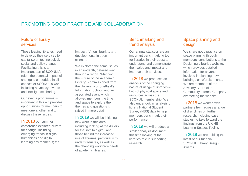# PROMOTING GOOD PRACTICE AND COLLABORATION

## Future of library services

Those leading libraries need to develop their services to capitalise on technological, social and policy change. Facilitating this is an important part of SCONUL's role – the potential impact of change is embedded in all aspects of SCONUL's work, including advocacy, events and intelligence sharing.

Our events programme is important in this – it provides opportunities for members to meet one another and to discuss these issues.

In 2018 our summer conference explored drivers for change, including emerging trends in digital humanities and digital learning environments; the

impact of AI on libraries; and developments in open science.

We explored the same issues in an in-depth, detailed way through a report, "Mapping the Future of the Academic Library", commissioned from the University of Sheffield's Information School, and an associated event which allowed members the time and space to explore the themes and questions it raised in more detail.

In 2019 we will be initiating new work in this area, including looking at the drivers for the shift to digital, and those behind the increased use of libraries, particularly by undergraduates, as well as the changing workforce needs of academic libraries.

#### Benchmarking and trend analysis

\_\_\_\_\_\_\_\_\_\_\_\_\_\_\_\_\_\_\_\_\_\_\_\_\_\_\_\_\_\_\_\_\_\_\_\_\_\_\_\_\_\_\_\_\_\_\_\_\_\_\_\_\_\_\_\_\_\_\_\_\_\_\_\_\_\_\_\_\_\_\_\_\_\_\_\_\_\_\_\_\_\_\_\_\_\_\_\_\_

Our annual statistics are an important benchmarking tool for libraries in their quest to understand and demonstrate their value and impact and improve their services.

In 2018 we produced an analysis of the changing nature of usage of libraries – both of physical space and resources across the SCONUL membership. We also undertook an analysis of library National Student Survey (NSS) data to help members benchmark their performance.

In 2019 we will produce a similar analysis document, this time looking at the libraries role in supporting research.

## Space planning and design

We share good practice on space planning through members' contributions to the Designing Libraries website, which provides detailed information for anyone involved in planning new buildings or refurbishments. We are members of the Advisory Board of the Community Interest Company overseeing the website.

In 2018 we worked with partners from across a range of disciplines on further research, including case studies, to take forward the findings from the UK HE Learning Spaces Toolkit.

In 2019 we are holding the latest of our triennial SCONUL Library Design Awards.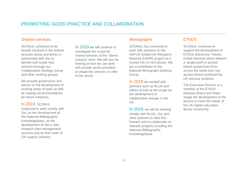# PROMOTING GOOD PRACTICE AND COLLABORATION

#### Shared services

SCONUL continues to be heavily involved in the shared services arena and works in partnership with Jisc to identify and scope new services through our Collaboration Strategy Group and other working groups.

We provide governance and advice on the development of existing areas of work as well as making recommendations for future initiatives.

#### In 2018, SCONUL

continued to work closely with Jisc on the development of the National Bibliographic Knowledgebase, on the development of Jisc's new research data management services and on their suite of OA support services.

In 2019 we will continue to investigate the scope for shared services at the "above campus" level. We will also be looking at how we can work with private sector providers to shape the services on offer to the sector.

## **Monographs**

\_\_\_\_\_\_\_\_\_\_\_\_\_\_\_\_\_\_\_\_\_\_\_\_\_\_\_\_\_\_\_\_\_\_\_\_\_\_\_\_\_\_\_\_\_\_\_\_\_\_\_\_\_\_\_\_\_\_\_\_\_\_\_\_\_\_\_\_\_\_\_\_\_\_\_\_\_\_\_\_\_\_\_\_\_\_\_\_\_

SCONUL has continued to work with partners on the HEFCE-funded UK Research Reserve (UKRR) project as it moved into its next phase. We are a contributor to the National Monograph Steering Group.

In 2018 we worked with partners such as RLUK and others to look at the scope for the development of collaborative storage in the UK.

In 2019, we will be working closely with RLUK, Jisc and other partners to take this forward and to collaborate on relevant projects including the National Bibliographic Knowledgebase.

## **EThOS**

SCONUL continues to support the development of EThOS (Electronic Theses Online Service) which delivers a 'single point of access' where researchers from across the world over can access theses produced by UK doctoral students.

The Executive Director is a member of the EThOS Advisory Board and helps shape the development of the service to meet the needs of the UK higher education library community.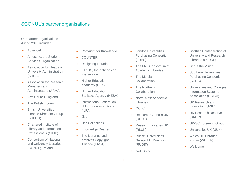# SCONUL's partner organisations

Our partner organisations during 2018 included:

- AdvanceHE
- Amosshe, the Student Services Organisation
- Association for Heads of University Administration (AHUA)
- **Association for Research** Managers and Administrators (ARMA)
- Arts Council England
- The British Library
- British Universities Finance Directors Group (BUFDG)
- Chartered Institute of Library and Information Professionals (CILIP)
- Consortium of National and University Libraries (CONUL), Ireland
- Copyright for Knowledge
- COUNTER
- Designing Libraries
- EThOS, the e-theses online service
- **•** Higher Education Academy (HEA)
- **•** Higher Education Statistics Agency (HESA)
- International Federation of Library Associations (ILFA)
- $\bullet$  Jisc
- Jisc Collections
- Knowledge Quarter
- The Libraries and Archives Copyright Alliance (LACA)
- **.** London Universities Purchasing Consortium (LUPC)
- The M25 Consortium of Academic Libraries
- The Mercian **Collaboration**
- The Northern **Collaboration**
- North West Academic Libraries
- OCLC
- Research Councils UK (RCUK)
- Research Libraries UK (RLUK)
- **•** Russell Universities Group of IT Directors (RUGIT)
- SCHOMS
- Scottish Confederation of University and Research Libraries (SCURL)
- Share the Vision
- **•** Southern Universities Purchasing Consortium (SUPC)
- Universities and Colleges Information Systems Association (UCISA)
- UK Research and Innovation (UKRI)
- UK Research Reserve (UKRR)
- UK-SCL Steering Group
- Universities UK (UUK)
- Wales HE Libraries Forum (WHELF)
- Wellcome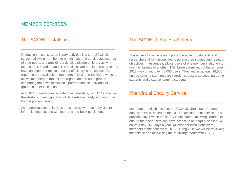# MEMBER SERVICES

## The SCONUL statistics

Production of statistics on library activities is a core SCONUL service, allowing members to benchmark their service against that of their peers, and providing a detailed picture of library activity across the UK and Ireland. The statistics are a unique resource and have an important role in ensuring efficiency in the sector. The reporting tool, available to members only via the SCONUL website, allows members to run tailored reports and produce graphs comparing their own institution's performance to individual or groups of peer institutions.

\_\_\_\_\_\_\_\_\_\_\_\_\_\_\_\_\_\_\_\_\_\_\_\_\_\_\_\_\_\_\_\_\_\_\_\_\_\_\_\_\_

In 2018 156 institutions included their statistics, with 127 submitting the strategic planning subset of data released early in time for the budget planning round.

As in previous years, in 2018 the statistics were used by Jisc to inform its negotiations with journal and e-book publishers.

## The SCONUL Access Scheme

The Access Scheme is an important enabler for students and researchers at UK universities to pursue their studies and research objectives. In essence it allows users of one member institution to use the libraries of another. 174 libraries were part of the scheme in 2018, welcoming over 40,000 users. They loaned at least 96,000 unique items to staff, research students, post-graduates, part-time students and distance learning students.

\_\_\_\_\_\_\_\_\_\_\_\_\_\_\_\_\_\_\_\_\_\_\_\_\_\_\_\_\_\_\_\_\_\_\_\_\_

## The Virtual Enquiry Service

Members are eligible to join the SCONUL virtual out-of-hours enquiry service, based on the OCLC QuestionPoint service. This provides cover when the library is not staffed, allowing libraries to ensure that their users can have access to an enquiry service 24 hours a day, 365 days a year. 44 member institutions were members of the scheme in 2018. During 2019 we will be reviewing the service and discussing future arrangements with OCLC.

\_\_\_\_\_\_\_\_\_\_\_\_\_\_\_\_\_\_\_\_\_\_\_\_\_\_\_\_\_\_\_\_\_\_\_\_\_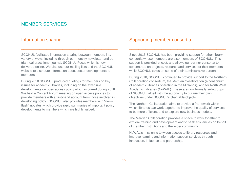# MEMBER SERVICES

## Information sharing

SCONUL facilitates information sharing between members in a variety of ways, including through our monthly newsletter and our triannual practitioner journal, SCONUL Focus which is now delivered online. We also use our mailing lists and the SCONUL website to distribute information about sector developments to members.

\_\_\_\_\_\_\_\_\_\_\_\_\_\_\_\_\_\_\_\_\_\_\_\_\_\_\_\_\_\_\_\_\_\_\_\_\_\_\_\_\_\_

During 2018 SCONUL produced briefings for members on key issues for academic libraries, including on the extensive developments on open access policy which occurred during 2018. We held a Content Forum meeting on open access policies to provide members with a first-hand account from those involved in developing policy. SCONUL also provides members with "news flash" updates which provide rapid summaries of important policy developments to members which are highly valued.

#### Supporting member consortia

Since 2013 SCONUL has been providing support for other library consortia whose members are also members of SCONUL. This support is provided at cost, and allows our partner consortia to concentrate on projects, research and services for their members while SCONUL takes on some of their administrative burden.

\_\_\_\_\_\_\_\_\_\_\_\_\_\_\_\_\_\_\_\_\_\_\_\_\_\_\_\_\_\_\_\_\_\_\_\_\_\_\_\_\_\_

During 2018, SCONUL continued to provide support to the Northern Collaboration consortium, the Mercian Collaboration (a consortium of academic libraries operating in the Midlands), and for North West Academic Libraries (NoWAL). These are now formally sub-groups of SCONUL, albeit with the autonomy to pursue their own objectives under SCONUL's charitable objects.

The Northern Collaboration aims to provide a framework within which libraries can work together to improve the quality of services, to be more efficient, and to explore new business models.

The Mercian Collaboration provides a space to work together to explore training and development and to seek efficiencies on behalf of member institutions and the wider community.

NoWAL's mission is to widen access to library resources and improve learning and information support services through innovation, influence and partnership.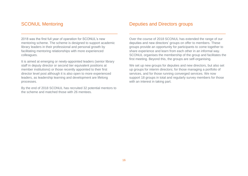# SCONUL Mentoring

# Deputies and Directors groups

2018 was the first full year of operation for SCONUL's new mentoring scheme. The scheme is designed to support academic library leaders in their professional and personal growth by facilitating mentoring relationships with more experienced colleagues.

\_\_\_\_\_\_\_\_\_\_\_\_\_\_\_\_\_\_\_\_\_\_\_\_\_\_\_\_\_\_\_\_\_\_\_\_\_\_\_\_\_\_

It is aimed at emerging or newly-appointed leaders (senior library staff in deputy director or second tier equivalent positions at member institutions) or those recently appointed to their first director level post although it is also open to more experienced leaders, as leadership learning and development are lifelong processes.

By the end of 2018 SCONUL has recruited 32 potential mentors to the scheme and matched those with 26 mentees.

Over the course of 2018 SCONUL has extended the range of our deputies and new directors' groups on offer to members. These groups provide an opportunity for participants to come together to share experience and learn from each other in an informal way. SCONUL organises the membership of the group and facilitates the first meeting. Beyond this, the groups are self-organising.

\_\_\_\_\_\_\_\_\_\_\_\_\_\_\_\_\_\_\_\_\_\_\_\_\_\_\_\_\_\_\_\_\_\_\_\_\_\_\_\_\_\_

We set up new groups for deputies and new directors, but also set up groups for interim directors; for those managing a portfolio of services, and for those running converged services. We now support 18 groups in total and regularly survey members for those with an interest in taking part.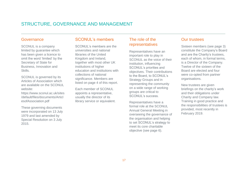# STRUCTURE, GOVERNANCE AND MANAGEMENT

#### Governance

SCONUL is a company limited by guarantee which has been given a licence to omit the word 'limited' by the Secretary of State for Business, Innovation and Skills.

SCONUL is governed by its Articles of Association which are available on the SCONUL website:

https://www.sconul.ac.uk/sites /default/files/documents/Articl esofAssociation.pdf

These governing documents were incorporated on 13 July 1979 and last amended by Special Resolution on 3 July 2015.

## SCONUL's members

SCONUL's members are the universities and national libraries of the United Kingdom and Ireland, together with most other UK institutions of higher education and institutions with collections of national significance. Members are listed on page 4 of this report.

Each member of SCONUL appoints a representative, usually the director of its library service or equivalent.

## The role of the representatives

\_\_\_\_\_\_\_\_\_\_\_\_\_\_\_\_\_\_\_\_\_\_\_\_\_\_\_\_\_\_\_\_\_\_\_\_\_\_\_\_\_\_\_\_\_\_\_\_\_\_\_\_\_\_\_\_\_\_\_\_\_\_\_\_\_\_\_\_\_\_\_\_\_\_\_\_\_\_\_\_\_\_\_\_\_\_\_\_\_

Representatives have an important role to play in SCONUL as the voice of their institution, influencing SCONUL's priorities and objectives. Their contributions to the Board, to SCONUL's Strategy Groups and in representing the community on a wide range of working groups are critical to SCONUL's success.

Representatives have a formal role at the SCONUL Annual General Meeting in overseeing the governance of the organisation and helping to set SCONUL's strategy to meet its core charitable objective (see page 6).

## Our trustees

Sixteen members (see page 3) constitute the Company's Board and are the Charity's trustees, each of whom, in formal terms, is a Director of the Company. Twelve of the sixteen of the Board are elected and four were co-opted from partner organisations.

New trustees are given briefings on the charity's work and their obligations under Charity and Company law. Training in good practice and the responsibilities of trustees is provided, most recently in February 2019.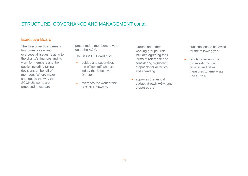# STRUCTURE, GOVERNANCE AND MANAGEMENT contd.

#### Executive Board

The Executive Board meets four times a year and oversees all issues relating to the charity's finances and its work for members and the public, including taking decisions on behalf of members. Where major changes to the way that SCONUL works are proposed, these are

presented to members to vote on at the AGM.

The SCONUL Board also:

- **•** quides and supervises the office staff who are led by the Executive **Director**
- oversees the work of the **SCONUL Strategy**

Groups and other working groups. This includes agreeing their terms of reference and considering significant proposals for activities and spending

• approves the annual budget at each AGM, and proposes the

subscriptions to be levied for the following year

**•** regularly reviews the organisation's risk register and takes measures to ameliorate those risks.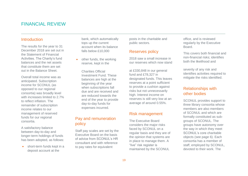## FINANCIAL REVIEW

#### Introduction

The results for the year to 31 December 2018 are set out in the Statement of Financial Activities. The Charity's fund balances and the net assets that constitute them are set out in the Balance Sheet.

Overall total income was as anticipated. Subscription income for SCONUL (as opposed to our regional consortia) was broadly level with increases limited to 2.7% to reflect inflation. The remainder of subscription income relates to our management of reserved funds for our regional consortia.

A satisfactory balance between day-to-day and longer-term holdings of funds has been adopted, as follows:

• short-term funds kept in a deposit account at the

bank, which automatically tops up the current account when its balance falls below £10,000

 other funds, the working reserve, kept in the

> Charities Official Investment Fund. These balances are high at the beginning of the year when subscriptions fall due and are received and are reduced towards the end of the year to provide day-to-day funds for expenses incurred.

## Pay and remuneration policy

Staff pay scales are set by the Executive Board on the basis of advice from SCONUL's HR consultant and with reference to pay rates for equivalent

posts in the charitable and public sectors.

#### Reserves policy

\_\_\_\_\_\_\_\_\_\_\_\_\_\_\_\_\_\_\_\_\_\_\_\_\_\_\_\_\_\_\_\_\_\_\_\_\_\_\_\_\_\_\_\_\_\_\_\_\_\_\_\_\_\_\_\_\_\_\_\_\_\_\_\_\_\_\_\_\_\_\_\_\_\_\_\_\_\_\_\_\_\_\_\_\_\_\_\_\_

2018 saw a small increase in our reserves which now stand

at £330,848 in our general fund and £78,327 in designated funds. This leaves reserves at a point sufficient to provide a cushion against risks but not unnecessarily high. Interest income on reserves is still very low at an average of around 0.55%.

#### Risk management

The Executive Board considers the major risks faced by SCONUL on a regular basis and they are of the opinion that systems are in place to manage them. A "live" risk register is maintained by the SCONUL

office, and is reviewed regularly by the Executive Board.

This covers both financial and non-financial risks; identifies both the likelihood and

severity of any risk and identifies activities required to mitigate the risks identified.

#### Relationships with other bodies

SCONUL provides support to three library consortia whose members are also members of SCONUL and which are formally constituted as subgroups of SCONUL. The groups have autonomy over the way in which they meet SCONUL's core charitable objects (see page 6). Each consortia has a member of staff, employed by SCONUL, devoted to their work. The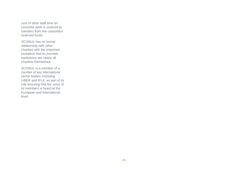cost of other staff time on consortia work is covered by transfers from the consortia's reserved funds.

SCONUL has no formal relationship with other charities with the important exception that its member institutions are nearly all charities themselves.

SCONUL is a member of a number of key international sector bodies, including LIBER and IFLA, as part of its role ensuring that the voice of its members is heard at the European and international level.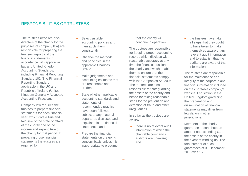#### RESPONSIBILITIES OF TRUSTEES

The trustees (who are also directors of the charity for the purposes of company law) are responsible for preparing the trustees' report and the financial statements in accordance with applicable law and United Kingdom Accounting Standards, including Financial Reporting Standard 102: The Financial Reporting Standard applicable in the UK and Republic of Ireland (United Kingdom Generally Accepted Accounting Practice).

Company law requires the trustees to prepare financial statements for each financial year, which give a true and fair view of the state of affairs of the charity and of the income and expenditure of the charity for that period. In preparing those financial statements the trustees are required to:

- Select suitable accounting policies and then apply them consistently;
- Observe the methods and principles in the applicable Charities SORP;
- Make judgements and accounting estimates that are reasonable and prudent;
- State whether applicable accounting standards and statements of recommended practice have been followed, subject to any material departures disclosed and explained in the financial statements; and
- Prepare the financial statements on the going concern basis unless it is inappropriate to presume

that the charity will continue in operation.

The trustees are responsible for keeping proper accounting records which disclose with reasonable accuracy at any time the financial position of the charity and which enable them to ensure that the financial statements comply with the Companies Act 2006. The trustees are also responsible for safeguarding the assets of the charity and hence for taking reasonable steps for the prevention and detection of fraud and other irregularities.

In so far as the trustees are aware:

 there is no relevant audit information of which the charitable company's auditors are unaware; and

 the trustees have taken all steps that they ought to have taken to make themselves aware of any relevant audit information and to establish that the auditors are aware of that information.

The trustees are responsible for the maintenance and integrity of the corporate and financial information included on the charitable company's website. Legislation in the United Kingdom governing the preparation and dissemination of financial statements may differ from legislation in other jurisdictions.

Members of the charity guarantee to contribute an amount not exceeding £1 to the assets of the charity in the event of winding up. The total number of such guarantees at 31 December 2018 was 16.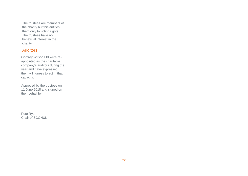The trustees are members of the charity but this entitles them only to voting rights. The trustees have no beneficial interest in the charity.

## **Auditors**

Godfrey Wilson Ltd were reappointed as the charitable company's auditors during the year and have expressed their willingness to act in that capacity.

Approved by the trustees on 11 June 2018 and signed on their behalf by

Pete Ryan Chair of SCONUL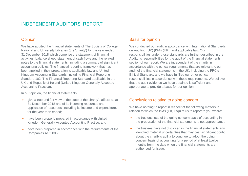# INDEPENDENT AUDITORS' REPORT

## **Opinion**

We have audited the financial statements of The Society of College, National and University Libraries (the 'charity') for the year ended 31 December 2018 which comprise the statement of financial activities, balance sheet, statement of cash flows and the related notes to the financial statements, including a summary of significant accounting policies. The financial reporting framework that has been applied in their preparation is applicable law and United Kingdom Accounting Standards, including Financial Reporting Standard 102: The Financial Reporting Standard applicable in the UK and Republic of Ireland (United Kingdom Generally Accepted Accounting Practice).

In our opinion, the financial statements:

- give a true and fair view of the state of the charity's affairs as at 31 December 2018 and of its incoming resources and application of resources, including its income and expenditure, for the year then ended;
- have been properly prepared in accordance with United Kingdom Generally Accepted Accounting Practice; and
- have been prepared in accordance with the requirements of the Companies Act 2006.

## Basis for opinion

\_\_\_\_\_\_\_\_\_\_\_\_\_\_\_\_\_\_\_\_\_\_\_\_\_\_\_\_\_\_\_\_\_\_\_\_\_\_\_\_\_\_\_\_\_\_\_\_\_\_\_\_\_\_\_\_\_\_\_\_\_\_\_\_\_\_\_\_\_\_\_\_\_\_\_\_\_\_\_\_\_\_\_\_\_\_\_\_\_

We conducted our audit in accordance with International Standards on Auditing (UK) (ISAs (UK)) and applicable law. Our responsibilities under those standards are further described in the Auditor's responsibilities for the audit of the financial statements section of our report. We are independent of the charity in accordance with the ethical requirements that are relevant to our audit of the financial statements in the UK, including the FRC's Ethical Standard, and we have fulfilled our other ethical responsibilities in accordance with these requirements. We believe that the audit evidence we have obtained is sufficient and appropriate to provide a basis for our opinion.

#### Conclusions relating to going concern

We have nothing to report in respect of the following matters in relation to which the ISAs (UK) require us to report to you where:

- the trustees' use of the going concern basis of accounting in the preparation of the financial statements is not appropriate; or
- the trustees have not disclosed in the financial statements any identified material uncertainties that may cast significant doubt about the charity's ability to continue to adopt the going concern basis of accounting for a period of at least twelve months from the date when the financial statements are authorised for issue.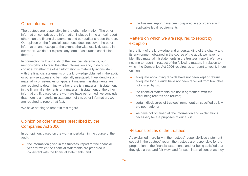#### Other information

The trustees are responsible for the other information. The other information comprises the information included in the annual report other than the financial statements and our auditor's report thereon. Our opinion on the financial statements does not cover the other information and, except to the extent otherwise explicitly stated in our report, we do not express any form of assurance conclusion thereon.

In connection with our audit of the financial statements, our responsibility is to read the other information and, in doing so, consider whether the other information is materially inconsistent with the financial statements or our knowledge obtained in the audit or otherwise appears to be materially misstated. If we identify such material inconsistencies or apparent material misstatements, we are required to determine whether there is a material misstatement in the financial statements or a material misstatement of the other information. If, based on the work we have performed, we conclude that there is a material misstatement of this other information, we are required to report that fact.

We have nothing to report in this regard.

## Opinion on other matters prescribed by the Companies Act 2006

In our opinion, based on the work undertaken in the course of the audit:

• the information given in the trustees' report for the financial year for which the financial statements are prepared is consistent with the financial statements; and

• the trustees' report have been prepared in accordance with applicable legal requirements.

#### Matters on which we are required to report by exception

In the light of the knowledge and understanding of the charity and its environment obtained in the course of the audit, we have not identified material misstatements in the trustees' report. We have nothing to report in respect of the following matters in relation to which the Companies Act 2006 requires us to report to you if, in our opinion:

- adequate accounting records have not been kept or returns adequate for our audit have not been received from branches not visited by us;
- the financial statements are not in agreement with the accounting records and returns;
- certain disclosures of trustees' remuneration specified by law are not made; or
- we have not obtained all the information and explanations necessary for the purposes of our audit.

#### Responsibilities of the trustees

As explained more fully in the trustees' responsibilities statement set out in the trustees' report, the trustees are responsible for the preparation of the financial statements and for being satisfied that they give a true and fair view, and for such internal control as they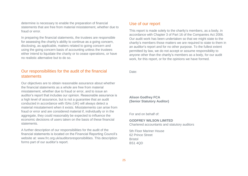determine is necessary to enable the preparation of financial statements that are free from material misstatement, whether due to fraud or error.

In preparing the financial statements, the trustees are responsible for assessing the charity's ability to continue as a going concern, disclosing, as applicable, matters related to going concern and using the going concern basis of accounting unless the trustees either intend to liquidate the charity or to cease operations, or have no realistic alternative but to do so.

## Our responsibilities for the audit of the financial statements

Our objectives are to obtain reasonable assurance about whether the financial statements as a whole are free from material misstatement, whether due to fraud or error, and to issue an auditor's report that includes our opinion. Reasonable assurance is a high level of assurance, but is not a guarantee that an audit conducted in accordance with ISAs (UK) will always detect a material misstatement when it exists. Misstatements can arise from fraud or error and are considered material if, individually or in the aggregate, they could reasonably be expected to influence the economic decisions of users taken on the basis of these financial statements.

A further description of our responsibilities for the audit of the financial statements is located on the Financial Reporting Council's website at: www.frc.org.uk/auditorsresponsibilities. This description forms part of our auditor's report.

## Use of our report

This report is made solely to the charity's members, as a body, in accordance with Chapter 3 of Part 16 of the Companies Act 2006. Our audit work has been undertaken so that we might state to the charity's members those matters we are required to state to them in an auditor's report and for no other purpose. To the fullest extent permitted by law, we do not accept or assume responsibility to anyone other than the charity's members as a body, for our audit work, for this report, or for the opinions we have formed.

Date:

**Alison Godfrey FCA (Senior Statutory Auditor)**

For and on behalf of:

#### **GODFREY WILSON LIMITED**

Chartered accountants and statutory auditors

5th Floor Mariner House 62 Prince Street Bristol BS1 4QD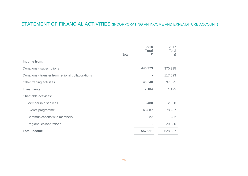# STATEMENT OF FINANCIAL ACTIVITIES (INCORPORATING AN INCOME AND EXPENDITURE ACCOUNT)

|                                                   |             | 2018<br><b>Total</b> | 2017<br>Total |
|---------------------------------------------------|-------------|----------------------|---------------|
|                                                   | <b>Note</b> | £                    | £             |
| Income from:                                      |             |                      |               |
| Donations - subscriptions                         |             | 446,973              | 370,395       |
| Donations - transfer from regional collaborations |             |                      | 117,023       |
| Other trading activities                          |             | 40,540               | 37,595        |
| Investments                                       |             | 2,104                | 1,175         |
| Charitable activities:                            |             |                      |               |
| Membership services                               |             | 3,480                | 2,850         |
| Events programme                                  |             | 63,887               | 78,987        |
| Communications with members                       |             | 27                   | 232           |
| Regional collaborations                           |             |                      | 20,630        |
| <b>Total income</b>                               |             | 557,011              | 628,887       |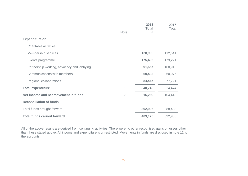|                                            | <b>Note</b>    | 2018<br><b>Total</b><br>£ | 2017<br>Total<br>£ |
|--------------------------------------------|----------------|---------------------------|--------------------|
| <b>Expenditure on:</b>                     |                |                           |                    |
| Charitable activities:                     |                |                           |                    |
| Membership services                        |                | 128,900                   | 112,541            |
| Events programme                           |                | 175,406                   | 173,221            |
| Partnership working, advocacy and lobbying |                | 91,557                    | 100,915            |
| Communications with members                |                | 60,432                    | 60,076             |
| Regional collaborations                    |                | 84,447                    | 77,721             |
| <b>Total expenditure</b>                   | $\overline{2}$ | 540,742                   | 524,474            |
| Net income and net movement in funds       | 3              | 16,269                    | 104,413            |
| <b>Reconciliation of funds</b>             |                |                           |                    |
| Total funds brought forward                |                | 392,906                   | 288,493            |
| <b>Total funds carried forward</b>         |                | 409,175                   | 392,906            |

All of the above results are derived from continuing activities. There were no other recognised gains or losses other than those stated above. All income and expenditure is unrestricted. Movements in funds are disclosed in note 12 to the accounts.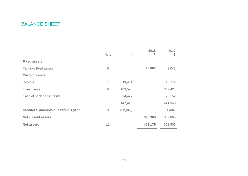# BALANCE SHEET

|                                             | <b>Note</b>    | £        | 2018<br>£ | 2017<br>£ |
|---------------------------------------------|----------------|----------|-----------|-----------|
| <b>Fixed assets</b>                         |                |          |           |           |
| Tangible fixed assets                       | 6              |          | 13,807    | 3,042     |
| <b>Current assets</b>                       |                |          |           |           |
| <b>Debtors</b>                              | $\overline{7}$ | 13,404   |           | 15,772    |
| Investments                                 | 8              | 409,529  |           | 347,424   |
| Cash at bank and in hand                    |                | 24,477   |           | 78,152    |
|                                             |                | 447,410  |           | 441,348   |
| <b>Creditors: amounts due within 1 year</b> | $\mathsf{9}$   | (52,042) |           | (51, 484) |
| <b>Net current assets</b>                   |                |          | 395,368   | 389,864   |
| <b>Net assets</b>                           | 11             |          | 409,175   | 392,906   |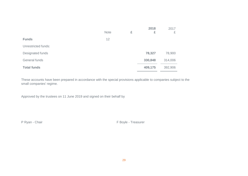|                     | <b>Note</b> | £ | 2018<br>£ | 2017<br>£ |
|---------------------|-------------|---|-----------|-----------|
| <b>Funds</b>        | 12          |   |           |           |
| Unrestricted funds: |             |   |           |           |
| Designated funds    |             |   | 78,327    | 78,900    |
| General funds       |             |   | 330,848   | 314,006   |
| <b>Total funds</b>  |             |   | 409,175   | 392,906   |

These accounts have been prepared in accordance with the special provisions applicable to companies subject to the small companies' regime.

Approved by the trustees on 11 June 2019 and signed on their behalf by

P Ryan - Chair **F Boyle - Treasurer**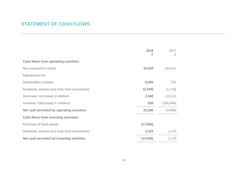# STATEMENT OF CASH FLOWS

|                                                | 2018<br>£ | 2017<br>£  |  |
|------------------------------------------------|-----------|------------|--|
| <b>Cash flows from operating activities:</b>   |           |            |  |
| Net movement in funds                          | 16,269    | 104,413    |  |
| Adjustments for:                               |           |            |  |
| Depreciation charges                           | 6,295     | 761        |  |
| Dividends, interest and rents from investments | (2, 104)  | (1, 175)   |  |
| Decrease / (increase) in debtors               | 2,368     | (3, 111)   |  |
| Increase / (decrease) in creditors             | 558       | (105, 484) |  |
| Net cash provided by operating activities      | 23,386    | (4,596)    |  |
| <b>Cash flows from investing activities:</b>   |           |            |  |
| Purchase of fixed assets                       | (17,060)  |            |  |
| Dividends, interest and rents from investments | 2,104     | 1,175      |  |
| Net cash provided by investing activities      | (14, 956) | 1,175      |  |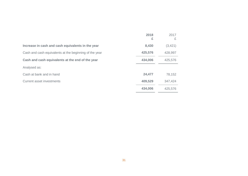|                                                        | 2018<br>£ | 2017<br>£ |
|--------------------------------------------------------|-----------|-----------|
| Increase in cash and cash equivalents in the year      | 8,430     | (3, 421)  |
| Cash and cash equivalents at the beginning of the year | 425,576   | 428,997   |
| Cash and cash equivalents at the end of the year       | 434,006   | 425,576   |
| Analysed as:                                           |           |           |
| Cash at bank and in hand                               | 24,477    | 78,152    |
| Current asset investments                              | 409,529   | 347,424   |
|                                                        | 434,006   | 425,576   |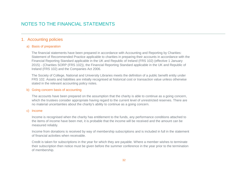# NOTES TO THE FINANCIAL STATEMENTS

#### 1. Accounting policies

#### a) Basis of preparation

The financial statements have been prepared in accordance with Accounting and Reporting by Charities: Statement of Recommended Practice applicable to charities in preparing their accounts in accordance with the Financial Reporting Standard applicable in the UK and Republic of Ireland (FRS 102) (effective 1 January 2015) - (Charities SORP (FRS 102)), the Financial Reporting Standard applicable in the UK and Republic of Ireland (FRS 102) and the Companies Act 2006.

\_\_\_\_\_\_\_\_\_\_\_\_\_\_\_\_\_\_\_\_\_\_\_\_\_\_\_\_\_\_\_\_\_\_\_\_\_\_\_\_\_\_\_\_\_\_\_\_\_\_\_\_\_\_\_\_\_\_\_\_\_\_\_\_\_\_\_\_\_\_\_\_\_\_\_\_\_\_\_\_\_\_\_\_\_\_\_\_\_

The Society of College, National and University Libraries meets the definition of a public benefit entity under FRS 102. Assets and liabilities are initially recognised at historical cost or transaction value unless otherwise stated in the relevant accounting policy notes.

#### b) Going concern basis of accounting

The accounts have been prepared on the assumption that the charity is able to continue as a going concern, which the trustees consider appropriate having regard to the current level of unrestricted reserves. There are no material uncertainties about the charity's ability to continue as a going concern.

#### c) Income

Income is recognised when the charity has entitlement to the funds, any performance conditions attached to the items of income have been met, it is probable that the income will be received and the amount can be measured reliably.

Income from donations is received by way of membership subscriptions and is included in full in the statement of financial activities when receivable.

Credit is taken for subscriptions in the year for which they are payable. Where a member wishes to terminate their subscription then notice must be given before the summer conference in the year prior to the termination of membership.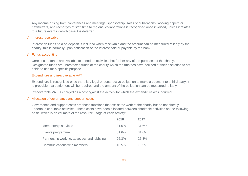Any income arising from conferences and meetings, sponsorship, sales of publications, working papers or newsletters, and recharges of staff time to regional collaborations is recognised once invoiced, unless it relates to a future event in which case it is deferred.

#### d) Interest receivable

Interest on funds held on deposit is included when receivable and the amount can be measured reliably by the charity: this is normally upon notification of the interest paid or payable by the bank.

#### e) Funds accounting

Unrestricted funds are available to spend on activities that further any of the purposes of the charity. Designated funds are unrestricted funds of the charity which the trustees have decided at their discretion to set aside to use for a specific purpose.

#### f) Expenditure and irrecoverable VAT

Expenditure is recognised once there is a legal or constructive obligation to make a payment to a third party, it is probable that settlement will be required and the amount of the obligation can be measured reliably.

Irrecoverable VAT is charged as a cost against the activity for which the expenditure was incurred.

#### g) Allocation of governance and support costs

Governance and support costs are those functions that assist the work of the charity but do not directly undertake charitable activities. These costs have been allocated between charitable activities on the following basis, which is an estimate of the resource usage of each activity:

|                                            | 2018  | 2017  |
|--------------------------------------------|-------|-------|
| Membership services                        | 31.6% | 31.6% |
| Events programme                           | 31.6% | 31.6% |
| Partnership working, advocacy and lobbying | 26.3% | 26.3% |
| Communications with members                | 10.5% | 10.5% |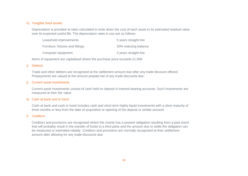#### h) Tangible fixed assets

Depreciation is provided at rates calculated to write down the cost of each asset to its estimated residual value over its expected useful life. The depreciation rates in use are as follows:

| Leasehold improvements           | 5 years straight line |
|----------------------------------|-----------------------|
| Furniture, fixtures and fittings | 20% reducing balance  |
| Computer equipment               | 3 years straight line |

Items of equipment are capitalised where the purchase price exceeds £1,000.

#### i) Debtors

Trade and other debtors are recognised at the settlement amount due after any trade discount offered. Prepayments are valued at the amount prepaid net of any trade discounts due.

#### j) Current asset investments

Current asset investments consist of cash held on deposit in interest bearing accounts. Such investments are measured at their fair value.

#### k) Cash at bank and in hand

Cash at bank and cash in hand includes cash and short term highly liquid investments with a short maturity of three months or less from the date of acquisition or opening of the deposit or similar account.

#### l) Creditors

Creditors and provisions are recognised where the charity has a present obligation resulting from a past event that will probably result in the transfer of funds to a third party and the amount due to settle the obligation can be measured or estimated reliably. Creditors and provisions are normally recognised at their settlement amount after allowing for any trade discounts due.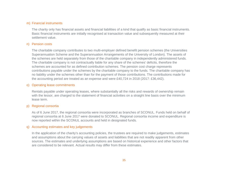#### m) Financial instruments

The charity only has financial assets and financial liabilities of a kind that qualify as basic financial instruments. Basic financial instruments are initially recognised at transaction value and subsequently measured at their settlement value.

#### n) Pension costs

The charitable company contributes to two multi-employer defined benefit pension schemes (the Universities Superannuation Scheme and the Superannuation Arrangements of the University of London). The assets of the schemes are held separately from those of the charitable company in independently administered funds. The charitable company is not contractually liable for any share of the schemes' deficits, therefore the schemes are accounted for as defined contribution schemes. The pension cost charge represents contributions payable under the schemes by the charitable company to the funds. The charitable company has no liability under the schemes other than for the payment of those contributions. The contributions made for the accounting period are treated as an expense and were £40,724 in 2018 (2017: £36,442).

#### o) Operating lease commitments

Rentals payable under operating leases, where substantially all the risks and rewards of ownership remain with the lessor, are charged to the statement of financial activities on a straight line basis over the minimum lease term.

#### p) Regional consortia

As of 6 June 2017, the regional consortia were incorporated as branches of SCONUL. Funds held on behalf of regional consortia at 6 June 2017 were donated to SCONUL. Regional consortia income and expenditure is now reported within the SCONUL accounts and held in designated funds.

#### q) Accounting estimates and key judgements

In the application of the charity's accounting policies, the trustees are required to make judgements, estimates and assumptions about the carrying values of assets and liabilities that are not readily apparent from other sources. The estimates and underlying assumptions are based on historical experience and other factors that are considered to be relevant. Actual results may differ from these estimates.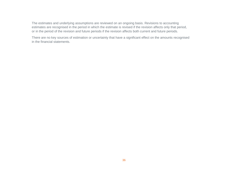The estimates and underlying assumptions are reviewed on an ongoing basis. Revisions to accounting estimates are recognised in the period in which the estimate is revised if the revision affects only that period, or in the period of the revision and future periods if the revision affects both current and future periods.

There are no key sources of estimation or uncertainty that have a significant effect on the amounts recognised in the financial statements.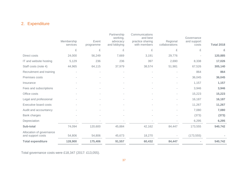# 2. Expenditure

|                                               | Membership | Event     | Partnership<br>working,<br>advocacy | Communications<br>and best<br>practice sharing | Regional       | Governance<br>and support |                   |
|-----------------------------------------------|------------|-----------|-------------------------------------|------------------------------------------------|----------------|---------------------------|-------------------|
|                                               | services   | programme | and lobbying                        | with members                                   | collaborations | costs                     | <b>Total 2018</b> |
|                                               | £          | £         | £                                   | £                                              | £              | £                         | £                 |
| Direct costs                                  | 24,000     | 56,249    | 7,669                               | 3,191                                          | 29,776         |                           | 120,885           |
| IT and website hosting                        | 5,129      | 236       | 236                                 | 397                                            | 2,690          | 8,338                     | 17,026            |
| Staff costs (note 4)                          | 44,965     | 64,115    | 37,979                              | 38,574                                         | 51,981         | 67,526                    | 305,140           |
| Recruitment and training                      |            | ×,        |                                     |                                                |                | 864                       | 864               |
| Premises costs                                |            |           |                                     |                                                |                | 36,045                    | 36,045            |
| Insurance                                     |            |           |                                     |                                                |                | 1,157                     | 1,157             |
| Fees and subscriptions                        |            |           |                                     |                                                |                | 3,946                     | 3,946             |
| Office costs                                  |            |           |                                     |                                                |                | 15,223                    | 15,223            |
| Legal and professional                        |            |           |                                     |                                                | $\overline{a}$ | 16,187                    | 16,187            |
| <b>Executive board costs</b>                  |            | ٠         |                                     | $\overline{\phantom{a}}$                       |                | 11,267                    | 11,267            |
| Audit and accountancy                         |            |           |                                     |                                                |                | 7,080                     | 7,080             |
| Bank charges                                  |            |           |                                     |                                                |                | (373)                     | (373)             |
| Depreciation                                  |            |           |                                     |                                                |                | 6,295                     | 6,295             |
| Sub-total                                     | 74,094     | 120,600   | 45,884                              | 42,162                                         | 84,447         | 173,555                   | 540,742           |
| Allocation of governance<br>and support costs | 54,806     | 54,806    | 45,673                              | 18,270                                         |                | (173, 555)                |                   |
| <b>Total expenditure</b>                      | 128,900    | 175,406   | 91,557                              | 60,432                                         | 84,447         |                           | 540,742           |

Total governance costs were £18,347 (2017: £13,055).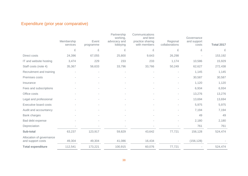# Expenditure (prior year comparative)

|                                               | Membership<br>services | Event<br>programme | Partnership<br>working,<br>advocacy and<br>lobbying | Communications<br>and best<br>practice sharing<br>with members | Regional<br>collaborations | Governance<br>and support<br>costs | <b>Total 2017</b> |
|-----------------------------------------------|------------------------|--------------------|-----------------------------------------------------|----------------------------------------------------------------|----------------------------|------------------------------------|-------------------|
|                                               | £                      | £                  | £                                                   | £                                                              | £                          | £                                  | £                 |
| Direct costs                                  | 24,396                 | 67,055             | 25,800                                              | 9,643                                                          | 26,298                     |                                    | 153,192           |
| IT and website hosting                        | 3,474                  | 229                | 233                                                 | 233                                                            | 1,174                      | 10,586                             | 15,929            |
| Staff costs (note 4)                          | 35,367                 | 56,633             | 33,796                                              | 33,766                                                         | 50,249                     | 62,627                             | 272,438           |
| Recruitment and training                      |                        |                    |                                                     |                                                                |                            | 1,145                              | 1,145             |
| Premises costs                                |                        |                    |                                                     |                                                                |                            | 30,587                             | 30,587            |
| Insurance                                     |                        |                    |                                                     |                                                                |                            | 1,120                              | 1,120             |
| Fees and subscriptions                        |                        |                    |                                                     |                                                                |                            | 6,934                              | 6,934             |
| Office costs                                  |                        |                    |                                                     |                                                                |                            | 13,276                             | 13,276            |
| Legal and professional                        |                        |                    |                                                     |                                                                |                            | 13,694                             | 13,694            |
| <b>Executive board costs</b>                  |                        |                    |                                                     |                                                                |                            | 5,975                              | 5,975             |
| Audit and accountancy                         |                        |                    |                                                     |                                                                |                            | 7,194                              | 7,194             |
| Bank charges                                  |                        |                    |                                                     |                                                                |                            | 49                                 | 49                |
| Bad debt expense                              |                        |                    |                                                     |                                                                |                            | 2,180                              | 2,180             |
| Depreciation                                  |                        |                    |                                                     |                                                                |                            | 761                                | 761               |
| Sub-total                                     | 63,237                 | 123,917            | 59,829                                              | 43,642                                                         | 77,721                     | 156,128                            | 524,474           |
| Allocation of governance<br>and support costs | 49,304                 | 49,304             | 41,086                                              | 16,434                                                         |                            | (156, 128)                         |                   |
| <b>Total expenditure</b>                      | 112,541                | 173,221            | 100,915                                             | 60,076                                                         | 77,721                     |                                    | 524,474           |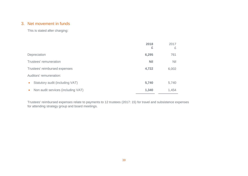## 3. Net movement in funds

This is stated after charging:

|                                    | 2018<br>£  | 2017<br>£  |
|------------------------------------|------------|------------|
| Depreciation                       | 6,295      | 761        |
| Trustees' remuneration             | <b>Nil</b> | <b>Nil</b> |
| Trustees' reimbursed expenses      | 4,722      | 6,002      |
| Auditors' remuneration:            |            |            |
| Statutory audit (including VAT)    | 5,740      | 5,740      |
| Non audit services (including VAT) | 1,340      | 1,454      |

Trustees' reimbursed expenses relate to payments to 12 trustees (2017: 15) for travel and subsistence expenses for attending strategy group and board meetings.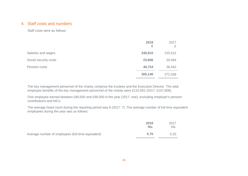#### 4. Staff costs and numbers

Staff costs were as follows:

|                       | 2018<br>£ | 2017<br>£ |
|-----------------------|-----------|-----------|
| Salaries and wages    | 240,810   | 215,512   |
| Social security costs | 23,606    | 20,484    |
| Pension costs         | 40,724    | 36,442    |
|                       | 305,140   | 272,438   |

The key management personnel of the charity comprise the trustees and the Executive Director. The total employee benefits of the key management personnel of the charity were £110,061 (2017: £107,808).

One employee earned between £80,000 and £90,000 in the year (2017: one), excluding employer's pension contributions and NICs.

The average head count during the reporting period was 8 (2017: 7). The average number of full time equivalent employees during the year was as follows:

|                                                    | 2018<br>No. | 2017<br>No. |
|----------------------------------------------------|-------------|-------------|
| Average number of employees (full-time equivalent) | 5.70        | 5.20        |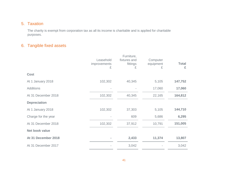## 5. Taxation

The charity is exempt from corporation tax as all its income is charitable and is applied for charitable purposes.

# 6. Tangible fixed assets

|                       | Leasehold<br>improvements<br>£ | Furniture,<br>fixtures and<br>fittings<br>£ | Computer<br>equipment<br>£ | <b>Total</b><br>£ |
|-----------------------|--------------------------------|---------------------------------------------|----------------------------|-------------------|
| <b>Cost</b>           |                                |                                             |                            |                   |
| At 1 January 2018     | 102,302                        | 40,345                                      | 5,105                      | 147,752           |
| <b>Additions</b>      |                                |                                             | 17,060                     | 17,060            |
| At 31 December 2018   | 102,302                        | 40,345                                      | 22,165                     | 164,812           |
| <b>Depreciation</b>   |                                |                                             |                            |                   |
| At 1 January 2018     | 102,302                        | 37,303                                      | 5,105                      | 144,710           |
| Charge for the year   |                                | 609                                         | 5,686                      | 6,295             |
| At 31 December 2018   | 102,302                        | 37,912                                      | 10,791                     | 151,005           |
| <b>Net book value</b> |                                |                                             |                            |                   |
| At 31 December 2018   |                                | 2,433                                       | 11,374                     | 13,807            |
| At 31 December 2017   |                                | 3,042                                       |                            | 3,042             |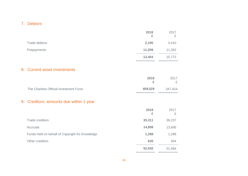# 7. Debtors

|                                                 | 2018<br>£ | 2017<br>£ |
|-------------------------------------------------|-----------|-----------|
| <b>Trade debtors</b>                            | 2,195     | 4,410     |
| Prepayments                                     | 11,209    | 11,362    |
|                                                 | 13,404    | 15,772    |
| 8. Current asset investments                    |           |           |
|                                                 | 2018<br>£ | 2017<br>£ |
| The Charities Official Investment Fund          | 409,529   | 347,424   |
| 9. Creditors: amounts due within 1 year         |           |           |
|                                                 | 2018<br>£ | 2017<br>£ |
| <b>Trade creditors</b>                          | 35,311    | 36,237    |
| Accruals                                        | 14,808    | 13,695    |
| Funds held on behalf of Copyright for Knowledge | 1,288     | 1,288     |
| Other creditors                                 | 635       | 264       |
|                                                 | 52,042    | 51,484    |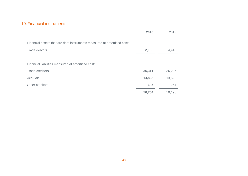## 10.Financial instruments

|                                                                        | 2018<br>£ | 2017<br>£ |
|------------------------------------------------------------------------|-----------|-----------|
| Financial assets that are debt instruments measured at amortised cost: |           |           |
| Trade debtors                                                          | 2,195     | 4,410     |
|                                                                        |           |           |
| Financial liabilities measured at amortised cost:                      |           |           |
| Trade creditors                                                        | 35,311    | 36,237    |
| Accruals                                                               | 14,808    | 13,695    |
| Other creditors                                                        | 635       | 264       |
|                                                                        | 50,754    | 50,196    |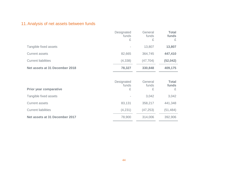# 11.Analysis of net assets between funds

|                                | Designated<br>funds<br>£ | General<br>funds<br>£ | <b>Total</b><br>funds<br>£ |
|--------------------------------|--------------------------|-----------------------|----------------------------|
| Tangible fixed assets          |                          | 13,807                | 13,807                     |
| <b>Current assets</b>          | 82,665                   | 364,745               | 447,410                    |
| <b>Current liabilities</b>     | (4,338)                  | (47, 704)             | (52, 042)                  |
| Net assets at 31 December 2018 | 78,327                   | 330,848               | 409,175                    |
|                                | Designated<br>funds      | General<br>funds      | <b>Total</b><br>funds      |
| <b>Prior year comparative</b>  | £                        | £                     | £                          |
| Tangible fixed assets          |                          | 3,042                 | 3,042                      |
| <b>Current assets</b>          | 83,131                   | 358,217               | 441,348                    |
| <b>Current liabilities</b>     | (4,231)                  | (47, 253)             | (51, 484)                  |
| Net assets at 31 December 2017 | 78,900                   | 314,006               | 392,906                    |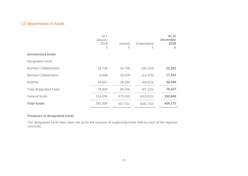## 12.Movements in funds

|                               | At 1<br>January<br>2018<br>£ | Income<br>£ | Expenditure<br>£ | At 31<br><b>December</b><br>2018<br>£ |
|-------------------------------|------------------------------|-------------|------------------|---------------------------------------|
| <b>Unrestricted funds</b>     |                              |             |                  |                                       |
| Designated funds:             |                              |             |                  |                                       |
| <b>Northern Collaboration</b> | 15,745                       | 34,789      | (28, 143)        | 22,391                                |
| <b>Mercian Collaboration</b>  | 8,488                        | 23,429      | (14, 475)        | 17,442                                |
| <b>NOWAL</b>                  | 54,667                       | 28,340      | (44, 513)        | 38,494                                |
| Total designated funds        | 78,900                       | 86,558      | (87, 131)        | 78,327                                |
| General funds                 | 314,006                      | 470,453     | (453, 611)       | 330,848                               |
| <b>Total funds</b>            | 392,906                      | 557,011     | (540, 742)       | 409,175                               |

#### **Purposes of designated funds**

The designated funds have been set up for the purpose of ringfencing funds held by each of the regional consortia.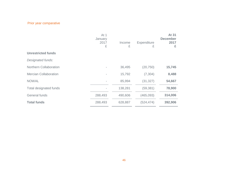# Prior year comparative

|                               | At 1<br>January<br>2017<br>£ | Income<br>£ | Expenditure<br>£ | At 31<br><b>December</b><br>2017<br>£ |
|-------------------------------|------------------------------|-------------|------------------|---------------------------------------|
| <b>Unrestricted funds</b>     |                              |             |                  |                                       |
| Designated funds:             |                              |             |                  |                                       |
| <b>Northern Collaboration</b> |                              | 36,495      | (20, 750)        | 15,745                                |
| <b>Mercian Collaboration</b>  |                              | 15,792      | (7, 304)         | 8,488                                 |
| <b>NOWAL</b>                  |                              | 85,994      | (31, 327)        | 54,667                                |
| Total designated funds        |                              | 138,281     | (59, 381)        | 78,900                                |
| General funds                 | 288,493                      | 490,606     | (465, 093)       | 314,006                               |
| <b>Total funds</b>            | 288,493                      | 628,887     | (524, 474)       | 392,906                               |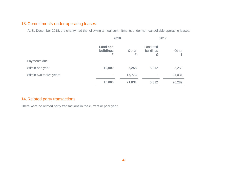# 13.Commitments under operating leases

At 31 December 2018, the charity had the following annual commitments under non-cancellable operating leases:

|                          | 2018                              |                   | 2017                       |            |
|--------------------------|-----------------------------------|-------------------|----------------------------|------------|
|                          | <b>Land and</b><br>buildings<br>£ | <b>Other</b><br>£ | Land and<br>buildings<br>£ | Other<br>£ |
| Payments due:            |                                   |                   |                            |            |
| Within one year          | 10,000                            | 5,258             | 5,812                      | 5,258      |
| Within two to five years | $\equiv$                          | 15,773            | ۰                          | 21,031     |
|                          | 10,000                            | 21,031            | 5,812                      | 26,289     |

# 14.Related party transactions

There were no related party transactions in the current or prior year.